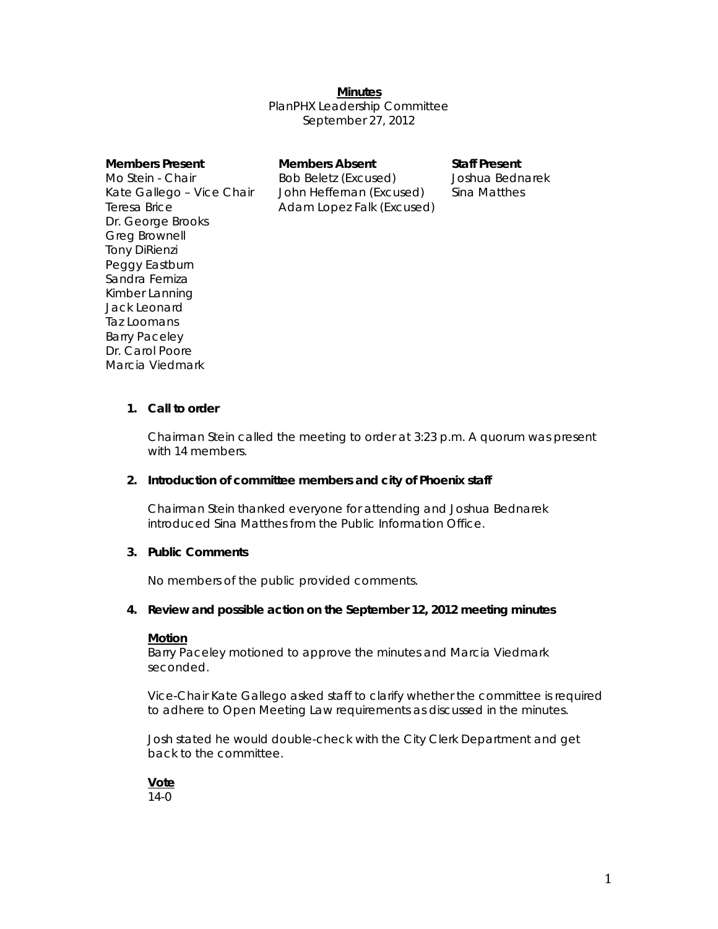*Minutes* PlanPHX Leadership Committee September 27, 2012

**Members Absent Staff Present Staff Present Absent Construction** Bob Beletz (Excused) Joshua Bednarek John Heffernan (Excused) Sina Matthes Adam Lopez Falk (Excused)

# **1. Call to order**

Chairman Stein called the meeting to order at 3:23 p.m. A quorum was present with 14 members.

#### **2. Introduction of committee members and city of Phoenix staff**

Chairman Stein thanked everyone for attending and Joshua Bednarek introduced Sina Matthes from the Public Information Office.

### **3. Public Comments**

No members of the public provided comments.

# **4. Review and possible action on the September 12, 2012 meeting minutes**

#### **Motion**

Barry Paceley motioned to approve the minutes and Marcia Viedmark seconded.

Vice-Chair Kate Gallego asked staff to clarify whether the committee is required to adhere to Open Meeting Law requirements as discussed in the minutes.

Josh stated he would double-check with the City Clerk Department and get back to the committee.



 $14 - 0$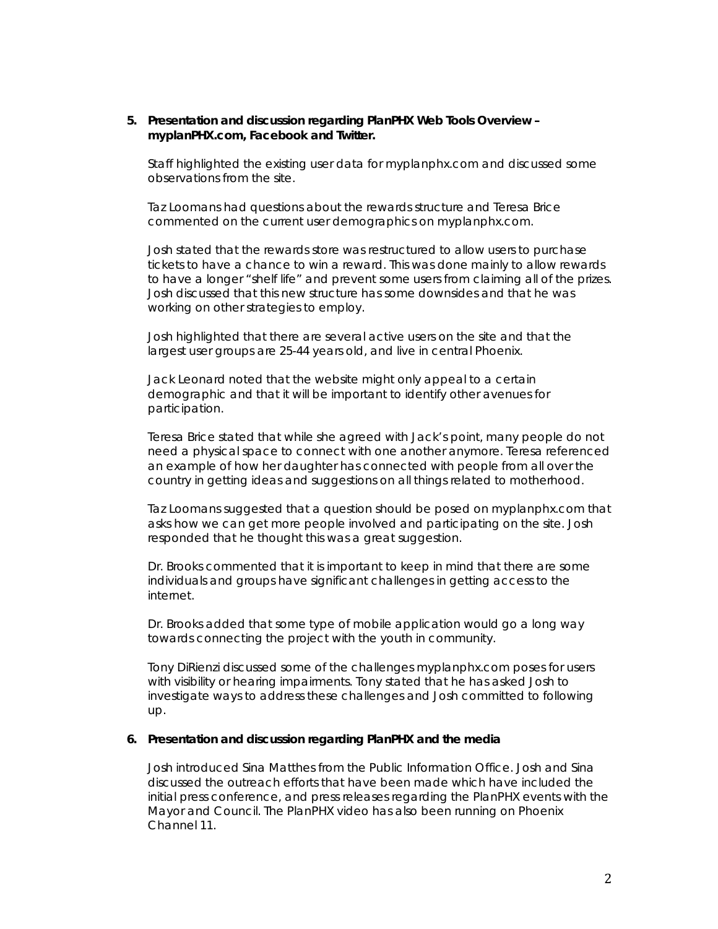### **5. Presentation and discussion regarding PlanPHX Web Tools Overview – myplanPHX.com, Facebook and Twitter.**

Staff highlighted the existing user data for myplanphx.com and discussed some observations from the site.

Taz Loomans had questions about the rewards structure and Teresa Brice commented on the current user demographics on myplanphx.com.

Josh stated that the rewards store was restructured to allow users to purchase tickets to have a chance to win a reward. This was done mainly to allow rewards to have a longer "shelf life" and prevent some users from claiming all of the prizes. Josh discussed that this new structure has some downsides and that he was working on other strategies to employ.

Josh highlighted that there are several active users on the site and that the largest user groups are 25-44 years old, and live in central Phoenix.

Jack Leonard noted that the website might only appeal to a certain demographic and that it will be important to identify other avenues for participation.

Teresa Brice stated that while she agreed with Jack's point, many people do not need a physical space to connect with one another anymore. Teresa referenced an example of how her daughter has connected with people from all over the country in getting ideas and suggestions on all things related to motherhood.

Taz Loomans suggested that a question should be posed on myplanphx.com that asks how we can get more people involved and participating on the site. Josh responded that he thought this was a great suggestion.

Dr. Brooks commented that it is important to keep in mind that there are some individuals and groups have significant challenges in getting access to the internet.

Dr. Brooks added that some type of mobile application would go a long way towards connecting the project with the youth in community.

Tony DiRienzi discussed some of the challenges myplanphx.com poses for users with visibility or hearing impairments. Tony stated that he has asked Josh to investigate ways to address these challenges and Josh committed to following up.

#### **6. Presentation and discussion regarding PlanPHX and the media**

Josh introduced Sina Matthes from the Public Information Office. Josh and Sina discussed the outreach efforts that have been made which have included the initial press conference, and press releases regarding the PlanPHX events with the Mayor and Council. The PlanPHX video has also been running on Phoenix Channel 11.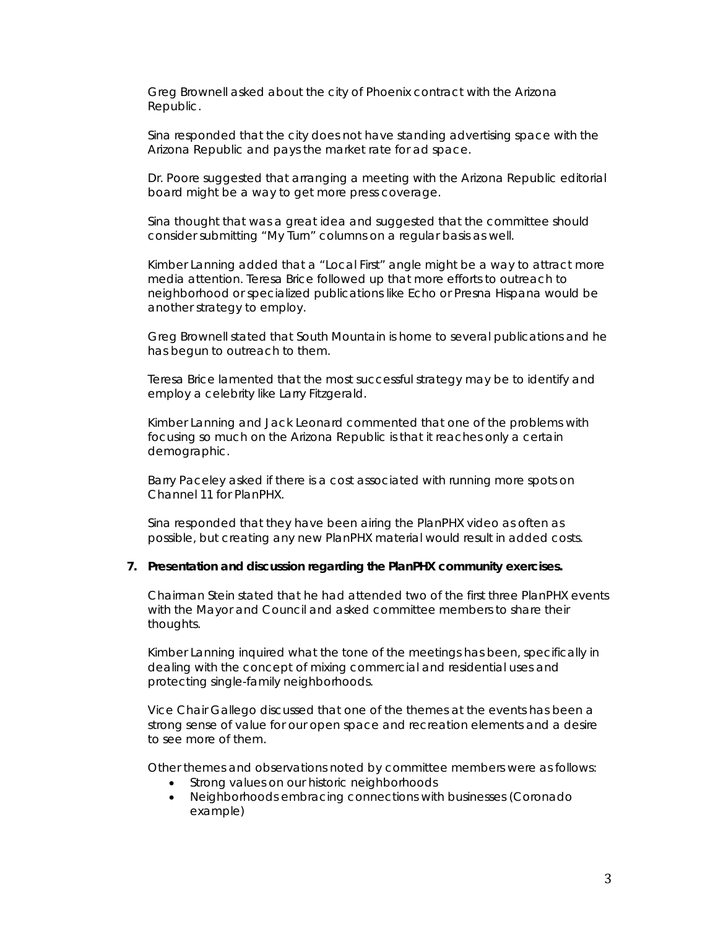Greg Brownell asked about the city of Phoenix contract with the *Arizona Republic.* 

Sina responded that the city does not have standing advertising space with the *Arizona Republic* and pays the market rate for ad space.

Dr. Poore suggested that arranging a meeting with the *Arizona Republic* editorial board might be a way to get more press coverage.

Sina thought that was a great idea and suggested that the committee should consider submitting "My Turn" columns on a regular basis as well.

Kimber Lanning added that a "Local First" angle might be a way to attract more media attention. Teresa Brice followed up that more efforts to outreach to neighborhood or specialized publications like *Echo* or *Presna Hispana* would be another strategy to employ.

Greg Brownell stated that South Mountain is home to several publications and he has begun to outreach to them.

Teresa Brice lamented that the most successful strategy may be to identify and employ a celebrity like Larry Fitzgerald.

Kimber Lanning and Jack Leonard commented that one of the problems with focusing so much on the *Arizona Republic* is that it reaches only a certain demographic.

Barry Paceley asked if there is a cost associated with running more spots on Channel 11 for PlanPHX.

Sina responded that they have been airing the PlanPHX video as often as possible, but creating any new PlanPHX material would result in added costs.

#### **7. Presentation and discussion regarding the PlanPHX community exercises.**

Chairman Stein stated that he had attended two of the first three PlanPHX events with the Mayor and Council and asked committee members to share their thoughts.

Kimber Lanning inquired what the tone of the meetings has been, specifically in dealing with the concept of mixing commercial and residential uses and protecting single-family neighborhoods.

Vice Chair Gallego discussed that one of the themes at the events has been a strong sense of value for our open space and recreation elements and a desire to see more of them.

Other themes and observations noted by committee members were as follows:

- Strong values on our historic neighborhoods
- Neighborhoods embracing connections with businesses (Coronado example)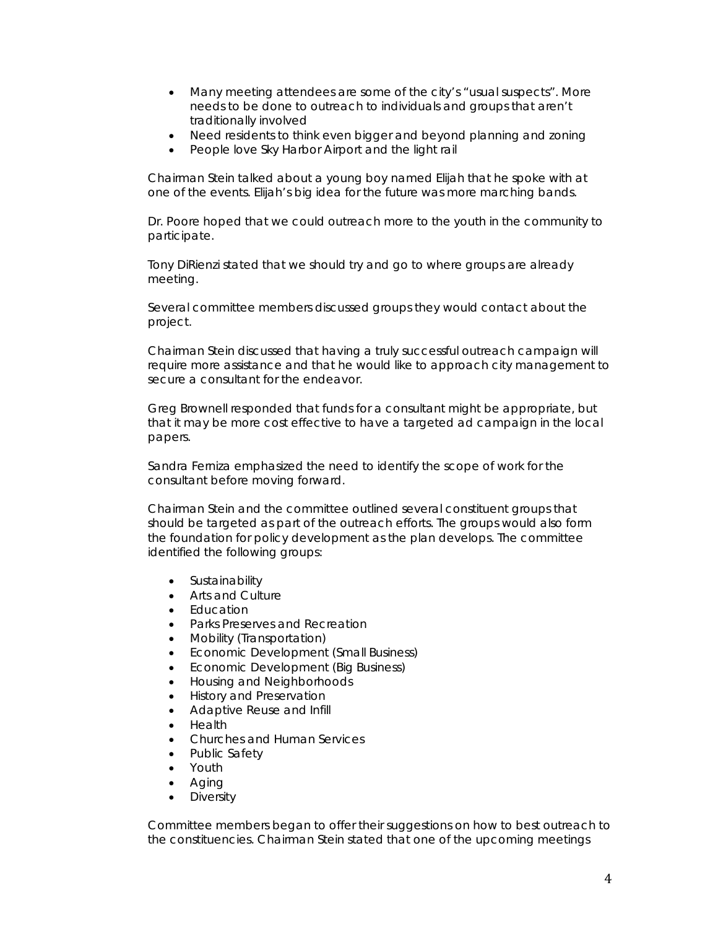- Many meeting attendees are some of the city's "usual suspects". More needs to be done to outreach to individuals and groups that aren't traditionally involved
- Need residents to think even bigger and beyond planning and zoning
- People love Sky Harbor Airport and the light rail

Chairman Stein talked about a young boy named Elijah that he spoke with at one of the events. Elijah's big idea for the future was more marching bands.

Dr. Poore hoped that we could outreach more to the youth in the community to participate.

Tony DiRienzi stated that we should try and go to where groups are already meeting.

Several committee members discussed groups they would contact about the project.

Chairman Stein discussed that having a truly successful outreach campaign will require more assistance and that he would like to approach city management to secure a consultant for the endeavor.

Greg Brownell responded that funds for a consultant might be appropriate, but that it may be more cost effective to have a targeted ad campaign in the local papers.

Sandra Ferniza emphasized the need to identify the scope of work for the consultant before moving forward.

Chairman Stein and the committee outlined several constituent groups that should be targeted as part of the outreach efforts. The groups would also form the foundation for policy development as the plan develops. The committee identified the following groups:

- Sustainability
- Arts and Culture
- Education
- Parks Preserves and Recreation
- Mobility (Transportation)
- Economic Development (Small Business)
- Economic Development (Big Business)
- Housing and Neighborhoods
- History and Preservation
- Adaptive Reuse and Infill
- Health
- Churches and Human Services
- Public Safety
- Youth
- Aging
- **Diversity**

Committee members began to offer their suggestions on how to best outreach to the constituencies. Chairman Stein stated that one of the upcoming meetings